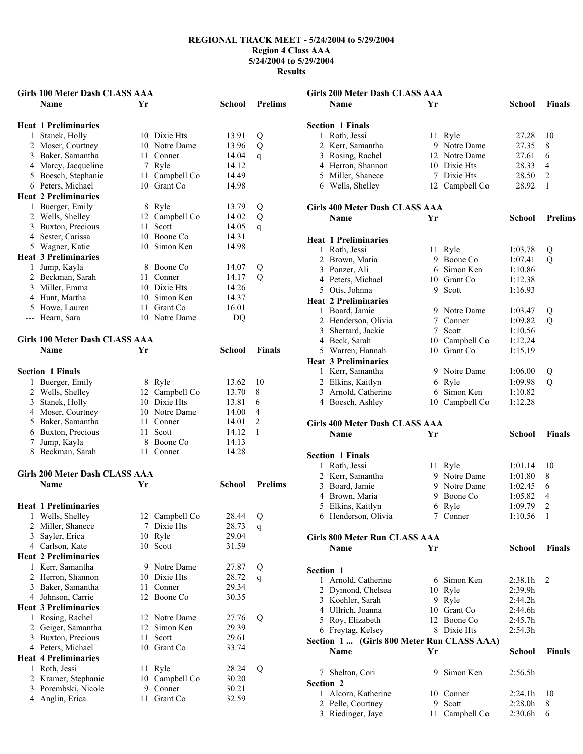**Girls 200 Meter Dash CLASS AAA** 

| Girls 100 Meter Dash CLASS AAA |                                       |      |                |               |                |  |
|--------------------------------|---------------------------------------|------|----------------|---------------|----------------|--|
|                                | Name                                  | Yг   |                | School        | <b>Prelims</b> |  |
|                                |                                       |      |                |               |                |  |
|                                | <b>Heat 1 Preliminaries</b>           |      |                |               |                |  |
| $\mathbf{1}$                   | Stanek, Holly                         |      | 10 Dixie Hts   | 13.91         | Q              |  |
|                                | 2 Moser, Courtney                     |      | 10 Notre Dame  | 13.96         | Q              |  |
|                                | 3 Baker, Samantha                     |      | 11 Conner      | 14.04         | $\overline{q}$ |  |
|                                | 4 Marcy, Jacqueline                   |      | 7 Ryle         | 14.12         |                |  |
|                                | 5 Boesch, Stephanie                   |      | 11 Campbell Co | 14.49         |                |  |
|                                | 6 Peters, Michael                     |      | 10 Grant Co    | 14.98         |                |  |
|                                | <b>Heat 2 Preliminaries</b>           |      |                |               |                |  |
|                                | 1 Buerger, Emily                      |      | 8 Ryle         | 13.79         | Q              |  |
|                                | 2 Wells, Shelley                      |      | 12 Campbell Co | 14.02         | Q              |  |
|                                | 3 Buxton, Precious                    | 11   | Scott          | 14.05         | q              |  |
|                                | 4 Sester, Carissa                     |      | 10 Boone Co    | 14.31         |                |  |
|                                | 5 Wagner, Katie                       |      | 10 Simon Ken   | 14.98         |                |  |
|                                | <b>Heat 3 Preliminaries</b>           |      |                |               |                |  |
|                                | 1 Jump, Kayla                         |      | 8 Boone Co     | 14.07         | Q              |  |
|                                | 2 Beckman, Sarah                      | 11   | Conner         | 14.17         | Q              |  |
|                                | 3 Miller, Emma                        |      | 10 Dixie Hts   | 14.26         |                |  |
|                                | 4 Hunt, Martha                        |      | 10 Simon Ken   | 14.37         |                |  |
|                                | 5 Howe, Lauren                        |      | 11 Grant Co    | 16.01         |                |  |
|                                | --- Hearn, Sara                       |      | 10 Notre Dame  | DQ            |                |  |
|                                |                                       |      |                |               |                |  |
|                                | <b>Girls 100 Meter Dash CLASS AAA</b> |      |                |               |                |  |
|                                | Name                                  | Yr   |                | <b>School</b> | <b>Finals</b>  |  |
|                                |                                       |      |                |               |                |  |
|                                | <b>Section 1 Finals</b>               |      |                |               |                |  |
|                                | 1 Buerger, Emily                      |      | 8 Ryle         | 13.62         | 10             |  |
|                                | 2 Wells, Shelley                      |      | 12 Campbell Co | 13.70         | 8              |  |
|                                | 3 Stanek, Holly                       |      | 10 Dixie Hts   | 13.81         | 6              |  |
|                                | 4 Moser, Courtney                     |      | 10 Notre Dame  | 14.00         | 4              |  |
|                                | 5 Baker, Samantha                     |      | 11 Conner      | 14.01         | $\overline{c}$ |  |
|                                | 6 Buxton, Precious                    | 11   | Scott          | 14.12         | 1              |  |
|                                | 7 Jump, Kayla                         | 8    | Boone Co       | 14.13         |                |  |
|                                | 8 Beckman, Sarah                      |      | 11 Conner      | 14.28         |                |  |
|                                |                                       |      |                |               |                |  |
|                                | <b>Girls 200 Meter Dash CLASS AAA</b> |      |                |               |                |  |
|                                | <b>Name</b>                           | Yr   |                | School        | <b>Prelims</b> |  |
|                                |                                       |      |                |               |                |  |
|                                | <b>Heat 1 Preliminaries</b>           |      |                |               |                |  |
|                                | 1 Wells, Shelley                      |      | 12 Campbell Co | 28.44         | Q              |  |
|                                | 2 Miller, Shanece                     | 7    | Dixie Hts      | 28.73         | q              |  |
|                                | 3 Sayler, Erica                       | 10   | Ryle           | 29.04         |                |  |
|                                | 4 Carlson, Kate                       | 10   | Scott          | 31.59         |                |  |
|                                | <b>Heat 2 Preliminaries</b>           |      |                |               |                |  |
| 1                              | Kerr, Samantha                        | 9.   | Notre Dame     | 27.87         | Q              |  |
|                                | 2 Herron, Shannon                     |      | 10 Dixie Hts   | 28.72         | q              |  |
|                                | 3 Baker, Samantha                     | 11   | Conner         | 29.34         |                |  |
|                                | 4 Johnson, Carrie                     | 12   | Boone Co       | 30.35         |                |  |
|                                | <b>Heat 3 Preliminaries</b>           |      |                |               |                |  |
| 1                              | Rosing, Rachel                        | 12   | Notre Dame     | 27.76         | Q              |  |
|                                | 2 Geiger, Samantha                    | 12   | Simon Ken      | 29.39         |                |  |
|                                | 3 Buxton, Precious                    | 11   | Scott          | 29.61         |                |  |
|                                | 4 Peters, Michael                     | 10   | Grant Co       | 33.74         |                |  |
|                                | <b>Heat 4 Preliminaries</b>           |      |                |               |                |  |
| 1                              | Roth, Jessi                           | 11   | Ryle           | 28.24         | Q              |  |
|                                | 2 Kramer, Stephanie                   |      | 10 Campbell Co | 30.20         |                |  |
|                                | 3 Porembski, Nicole                   | 9.   | Conner         | 30.21         |                |  |
|                                | 4 Anglin, Erica                       | 11 - | Grant Co       | 32.59         |                |  |

|                  | Name                                       | Yr   |                         | School             | <b>Finals</b>  |
|------------------|--------------------------------------------|------|-------------------------|--------------------|----------------|
|                  |                                            |      |                         |                    |                |
|                  | <b>Section 1 Finals</b>                    |      |                         |                    |                |
|                  | 1 Roth, Jessi                              |      | 11 Ryle                 | 27.28              | 10             |
|                  | 2 Kerr, Samantha                           |      | 9 Notre Dame            | 27.35              | 8              |
|                  | 3 Rosing, Rachel                           |      | 12 Notre Dame           | 27.61              | 6              |
|                  | 4 Herron, Shannon                          |      | 10 Dixie Hts            | 28.33              | 4              |
|                  | 5 Miller, Shanece                          |      | 7 Dixie Hts             | 28.50              | 2              |
|                  | 6 Wells, Shelley                           |      | 12 Campbell Co          | 28.92              | 1              |
|                  |                                            |      |                         |                    |                |
|                  | <b>Girls 400 Meter Dash CLASS AAA</b>      |      |                         |                    |                |
|                  | <b>Name</b>                                | Yr   |                         | School             | <b>Prelims</b> |
|                  |                                            |      |                         |                    |                |
|                  | <b>Heat 1 Preliminaries</b>                |      |                         |                    |                |
|                  | 1 Roth, Jessi                              | 11 - | Ryle                    | 1:03.78            | Q              |
|                  | 2 Brown, Maria                             |      | 9 Boone Co              | 1:07.41            | Q              |
|                  | 3 Ponzer, Ali                              |      | 6 Simon Ken             | 1:10.86            |                |
|                  | 4 Peters, Michael                          |      | 10 Grant Co             | 1:12.38            |                |
|                  | 5 Otis, Johnna                             |      | 9 Scott                 | 1:16.93            |                |
|                  | <b>Heat 2 Preliminaries</b>                |      |                         |                    |                |
|                  | 1 Board, Jamie                             |      | 9 Notre Dame            | 1:03.47            | Q              |
|                  | 2 Henderson, Olivia                        |      | 7 Conner                | 1:09.82            | Q              |
|                  | 3 Sherrard, Jackie                         |      | 7 Scott                 | 1:10.56            |                |
|                  | 4 Beck, Sarah                              |      | 10 Campbell Co          | 1:12.24            |                |
|                  | 5 Warren, Hannah                           |      | 10 Grant Co             | 1:15.19            |                |
|                  | <b>Heat 3 Preliminaries</b>                |      |                         |                    |                |
|                  | 1 Kerr, Samantha                           |      | 9 Notre Dame            | 1:06.00            | Q              |
|                  | 2 Elkins, Kaitlyn                          |      | 6 Ryle                  | 1:09.98            | Q              |
|                  | 3 Arnold, Catherine                        | 6    | Simon Ken               | 1:10.82            |                |
|                  | 4 Boesch, Ashley                           |      | 10 Campbell Co          | 1:12.28            |                |
|                  |                                            |      |                         |                    |                |
|                  |                                            |      |                         |                    |                |
|                  | Girls 400 Meter Dash CLASS AAA             |      |                         |                    |                |
|                  | <b>Name</b>                                | Yr   |                         | School             | Finals         |
|                  |                                            |      |                         |                    |                |
|                  |                                            |      |                         |                    |                |
|                  | <b>Section 1 Finals</b>                    |      |                         |                    | 10             |
|                  | 1 Roth, Jessi                              |      | 11 Ryle<br>9 Notre Dame | 1:01.14            | 8              |
|                  | 2 Kerr, Samantha                           |      | 9 Notre Dame            | 1:01.80<br>1:02.45 | 6              |
|                  | 3 Board, Jamie<br>4 Brown, Maria           |      | 9 Boone Co              | 1:05.82            | 4              |
|                  |                                            | 6    |                         |                    | $\overline{2}$ |
|                  | 5 Elkins, Kaitlyn<br>6 Henderson, Olivia   | 7    | Ryle<br>Conner          | 1:09.79<br>1:10.56 | 1              |
|                  |                                            |      |                         |                    |                |
|                  | <b>Girls 800 Meter Run CLASS AAA</b>       |      |                         |                    |                |
|                  | <b>Name</b>                                | Yr   |                         | School             | <b>Finals</b>  |
|                  |                                            |      |                         |                    |                |
| <b>Section 1</b> |                                            |      |                         |                    |                |
|                  | 1 Arnold, Catherine                        |      | 6 Simon Ken             | 2:38.1h            | 2              |
|                  | 2 Dymond, Chelsea                          |      |                         | 2:39.9h            |                |
|                  | 3 Koehler, Sarah                           |      | 10 Ryle<br>9 Ryle       | 2:44.2h            |                |
|                  | 4 Ullrich, Joanna                          |      | 10 Grant Co             | 2:44.6h            |                |
|                  | 5 Roy, Elizabeth                           |      | 12 Boone Co             | 2:45.7h            |                |
|                  | 6 Freytag, Kelsey                          |      | 8 Dixie Hts             | 2:54.3h            |                |
|                  | Section 1  (Girls 800 Meter Run CLASS AAA) |      |                         |                    |                |
|                  | Name                                       | Yr   |                         | School             | <b>Finals</b>  |
|                  |                                            |      |                         |                    |                |
|                  | 7 Shelton, Cori                            |      | 9 Simon Ken             | 2:56.5h            |                |
| <b>Section 2</b> |                                            |      |                         |                    |                |
|                  | 1 Alcorn, Katherine                        |      | 10 Conner               | 2:24.1h            | 10             |
|                  | 2 Pelle, Courtney                          |      | 9 Scott                 | 2:28.0h            | 8              |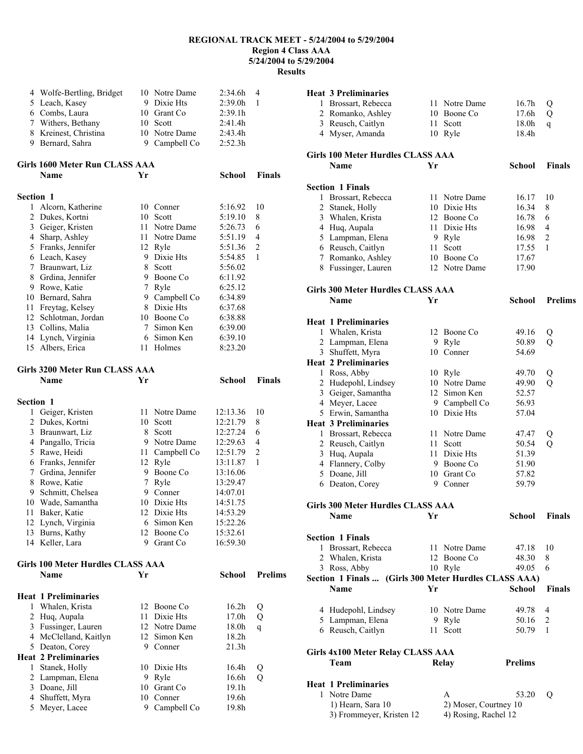**Results** 

|                  | 4 Wolfe-Bertling, Bridget              |                | 10 Notre Dame              | 2:34.6h              | 4              |
|------------------|----------------------------------------|----------------|----------------------------|----------------------|----------------|
|                  | 5 Leach, Kasey                         |                | 9 Dixie Hts                | 2:39.0h              | 1              |
|                  | 6 Combs, Laura                         |                | 10 Grant Co                | 2:39.1h              |                |
|                  | 7 Withers, Bethany                     |                | 10 Scott                   | 2:41.4h              |                |
|                  | 8 Kreinest, Christina                  |                | 10 Notre Dame              | 2:43.4h              |                |
|                  | 9 Bernard, Sahra                       |                | 9 Campbell Co              | 2:52.3h              |                |
|                  | Girls 1600 Meter Run CLASS AAA         |                |                            |                      |                |
|                  | Name                                   | Yr             |                            | School               | <b>Finals</b>  |
| <b>Section 1</b> |                                        |                |                            |                      |                |
| 1                | Alcorn, Katherine                      |                | 10 Conner                  | 5:16.92              | 10             |
| 2                | Dukes, Kortni                          |                | 10 Scott                   | 5:19.10              | 8              |
|                  | 3 Geiger, Kristen                      |                | 11 Notre Dame              | 5:26.73              | 6              |
|                  | 4 Sharp, Ashley                        |                | 11 Notre Dame              | 5:51.19              | 4              |
|                  | 5 Franks, Jennifer                     |                | 12 Ryle                    | 5:51.36              | $\overline{c}$ |
|                  | 6 Leach, Kasey                         |                | 9 Dixie Hts                | 5:54.85              | 1              |
| $7\phantom{.0}$  | Braunwart, Liz<br>8 Grdina, Jennifer   |                | 8 Scott<br>9 Boone Co      | 5:56.02              |                |
|                  | 9 Rowe, Katie                          | 7 <sup>7</sup> | Ryle                       | 6:11.92              |                |
|                  | 10 Bernard, Sahra                      |                | 9 Campbell Co              | 6:25.12<br>6:34.89   |                |
| 11               | Freytag, Kelsey                        |                | 8 Dixie Hts                | 6:37.68              |                |
|                  | 12 Schlotman, Jordan                   |                | 10 Boone Co                | 6:38.88              |                |
|                  | 13 Collins, Malia                      | 7              | Simon Ken                  | 6:39.00              |                |
|                  | 14 Lynch, Virginia                     |                | 6 Simon Ken                | 6:39.10              |                |
|                  | 15 Albers, Erica                       |                | 11 Holmes                  | 8:23.20              |                |
|                  |                                        |                |                            |                      |                |
|                  | Girls 3200 Meter Run CLASS AAA<br>Name | Yr             |                            | <b>School</b>        | <b>Finals</b>  |
|                  |                                        |                |                            |                      |                |
| <b>Section 1</b> |                                        |                |                            |                      |                |
| $\mathbf{1}$     | Geiger, Kristen                        |                | 11 Notre Dame              | 12:13.36             | 10             |
| 2                | Dukes, Kortni                          | 10             | Scott                      | 12:21.79             | 8              |
| 3                | Braunwart, Liz                         | 8              | Scott                      | 12:27.24             | 6              |
|                  | 4 Pangallo, Tricia                     |                | 9 Notre Dame               | 12:29.63             | 4              |
|                  | 5 Rawe, Heidi                          |                | 11 Campbell Co             | 12:51.79             | $\overline{2}$ |
|                  | 6 Franks, Jennifer                     |                | 12 Ryle                    | 13:11.87             | 1              |
| $\tau$           | Grdina, Jennifer                       |                | 9 Boone Co                 | 13:16.06             |                |
| 8                | Rowe, Katie                            | $\tau$         | Ryle                       | 13:29.47             |                |
|                  | 9 Schmitt, Chelsea                     |                | 9 Conner<br>10 Dixie Hts   | 14:07.01             |                |
|                  | 10 Wade, Samantha                      |                | 12 Dixie Hts               | 14:51.75             |                |
|                  | 11 Baker, Katie                        | 6              | Simon Ken                  | 14:53.29             |                |
|                  | 12 Lynch, Virginia<br>13 Burns, Kathy  |                | 12 Boone Co                | 15:22.26<br>15:32.61 |                |
|                  | 14 Keller, Lara                        |                | 9 Grant Co                 | 16:59.30             |                |
|                  |                                        |                |                            |                      |                |
|                  | Girls 100 Meter Hurdles CLASS AAA      |                |                            |                      | <b>Prelims</b> |
|                  | Name                                   | Yr             |                            | <b>School</b>        |                |
|                  | <b>Heat 1 Preliminaries</b>            |                |                            |                      |                |
| 1                | Whalen, Krista                         |                | 12 Boone Co                | 16.2 <sub>h</sub>    | Q              |
| $\overline{c}$   | Huq, Aupala                            |                | 11 Dixie Hts               | 17.0h                | Q              |
| 3                | Fussinger, Lauren                      |                | 12 Notre Dame              | 18.0h                | $\mathsf{q}$   |
|                  | 4 McClelland, Kaitlyn                  | 12             | Simon Ken                  | 18.2h                |                |
|                  | 5 Deaton, Corey                        | 9.             | Conner                     | 21.3h                |                |
|                  | <b>Heat 2 Preliminaries</b>            |                |                            |                      |                |
| $\mathbf{1}$     | Stanek, Holly                          |                | 10 Dixie Hts               | 16.4h                | Q              |
| 2                |                                        |                |                            |                      |                |
|                  | Lampman, Elena                         |                | 9 Ryle                     | 16.6h                | Q              |
| 3                | Doane, Jill                            |                | 10 Grant Co                | 19.1h                |                |
|                  | 4 Shuffett, Myra<br>5 Meyer, Lacee     |                | 10 Conner<br>9 Campbell Co | 19.6h<br>19.8h       |                |

|   | <b>Heat 3 Preliminaries</b>                           |    |                              |                |                |
|---|-------------------------------------------------------|----|------------------------------|----------------|----------------|
|   | 1 Brossart, Rebecca                                   |    | 11 Notre Dame                | 16.7h          | Q              |
|   | 2 Romanko, Ashley                                     |    | 10 Boone Co                  | 17.6h          | Q              |
|   | 3 Reusch, Caitlyn                                     |    | 11 Scott                     | 18.0h          | q              |
|   | 4 Myser, Amanda                                       |    | 10 Ryle                      | 18.4h          |                |
|   | <b>Girls 100 Meter Hurdles CLASS AAA</b>              |    |                              |                |                |
|   | <b>Name</b>                                           | Yr |                              | School         | <b>Finals</b>  |
|   |                                                       |    |                              |                |                |
|   | <b>Section 1 Finals</b>                               |    |                              |                |                |
| 1 | Brossart, Rebecca                                     |    | 11 Notre Dame                | 16.17          | 10             |
|   | 2 Stanek, Holly                                       |    | 10 Dixie Hts                 | 16.34          | 8              |
|   | 3 Whalen, Krista                                      |    | 12 Boone Co                  | 16.78          | 6              |
|   | 4 Huq, Aupala                                         |    | 11 Dixie Hts                 | 16.98          | 4              |
|   | 5 Lampman, Elena                                      |    | 9 Ryle                       | 16.98          | $\overline{c}$ |
|   | 6 Reusch, Caitlyn                                     |    | 11 Scott                     | 17.55          | 1              |
|   | 7 Romanko, Ashley                                     |    | 10 Boone Co<br>12 Notre Dame | 17.67          |                |
|   | 8 Fussinger, Lauren                                   |    |                              | 17.90          |                |
|   | Girls 300 Meter Hurdles CLASS AAA                     |    |                              |                |                |
|   | <b>Name</b>                                           | Yr |                              | School         | <b>Prelims</b> |
|   | <b>Heat 1 Preliminaries</b>                           |    |                              |                |                |
|   | 1 Whalen, Krista                                      |    | 12 Boone Co                  | 49.16          | Q              |
|   | 2 Lampman, Elena                                      |    | 9 Ryle                       | 50.89          | $\overline{Q}$ |
|   | 3 Shuffett, Myra                                      |    | 10 Conner                    | 54.69          |                |
|   | <b>Heat 2 Preliminaries</b>                           |    |                              |                |                |
|   | 1 Ross, Abby                                          |    | 10 Ryle                      | 49.70          | Q              |
|   | 2 Hudepohl, Lindsey                                   |    | 10 Notre Dame                | 49.90          | $\overline{Q}$ |
|   | 3 Geiger, Samantha                                    |    | 12 Simon Ken                 | 52.57          |                |
|   | 4 Meyer, Lacee                                        |    | 9 Campbell Co                | 56.93          |                |
|   | 5 Erwin, Samantha                                     |    | 10 Dixie Hts                 | 57.04          |                |
|   | <b>Heat 3 Preliminaries</b>                           |    |                              |                |                |
| 1 | Brossart, Rebecca                                     |    | 11 Notre Dame                | 47.47          | Q              |
|   | 2 Reusch, Caitlyn                                     |    | 11 Scott                     | 50.54          | $\overline{Q}$ |
|   | 3 Huq, Aupala                                         |    | 11 Dixie Hts                 | 51.39          |                |
|   | 4 Flannery, Colby                                     |    | 9 Boone Co                   | 51.90          |                |
|   | 5 Doane, Jill                                         |    | 10 Grant Co                  | 57.82          |                |
|   | 6 Deaton, Corey                                       |    | 9 Conner                     | 59.79          |                |
|   | <b>Girls 300 Meter Hurdles CLASS AAA</b>              |    |                              |                |                |
|   | Name                                                  | Yr |                              | School         | Finals         |
|   | <b>Section 1 Finals</b>                               |    |                              |                |                |
| 1 | Brossart, Rebecca                                     |    | 11 Notre Dame                | 47.18          | 10             |
|   | 2 Whalen, Krista                                      |    | 12 Boone Co                  | 48.30          | 8              |
|   | 3 Ross, Abby                                          |    | 10 Ryle                      | 49.05          | 6              |
|   | Section 1 Finals  (Girls 300 Meter Hurdles CLASS AAA) |    |                              |                |                |
|   | Name                                                  | Yr |                              | <b>School</b>  | <b>Finals</b>  |
|   | 4 Hudepohl, Lindsey                                   |    | 10 Notre Dame                | 49.78          | 4              |
|   | 5 Lampman, Elena                                      |    | 9 Ryle                       | 50.16          | 2              |
|   | 6 Reusch, Caitlyn                                     |    | 11 Scott                     | 50.79          | 1              |
|   |                                                       |    |                              |                |                |
|   | Girls 4x100 Meter Relay CLASS AAA<br>Team             |    | <b>Relay</b>                 | <b>Prelims</b> |                |
|   |                                                       |    |                              |                |                |
|   | <b>Heat 1 Preliminaries</b>                           |    |                              |                |                |
|   | 1 Notre Dame                                          |    | A                            | 53.20          | Q              |
|   | 1) Hearn, Sara 10                                     |    | 2) Moser, Courtney 10        |                |                |
|   | 3) Frommeyer, Kristen 12                              |    | 4) Rosing, Rachel 12         |                |                |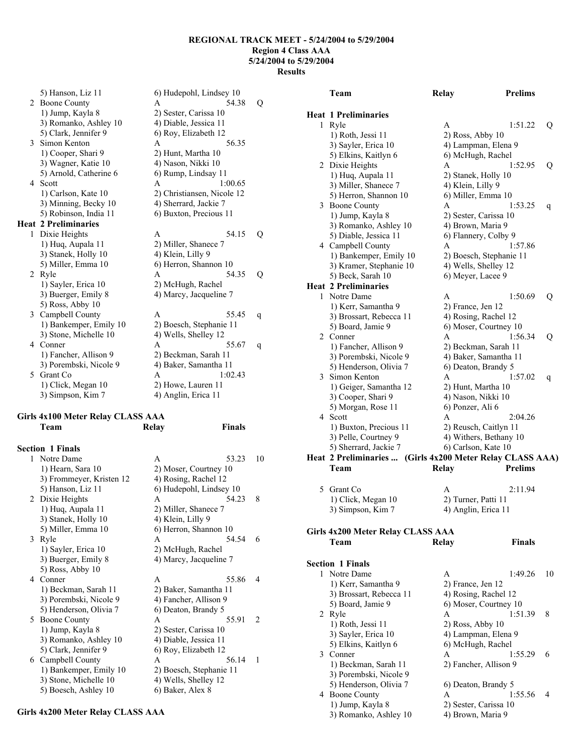5) Hanson, Liz 11 6) Hudepohl, Lindsey 10 2 Boone County A 54.38 Q 1) Jump, Kayla 8 2) Sester, Carissa 10 3) Romanko, Ashley 10 4) Diable, Jessica 11 5) Clark, Jennifer 9 6) Roy, Elizabeth 12 3 Simon Kenton A 56.35 1) Cooper, Shari 9 2) Hunt, Martha 10 3) Wagner, Katie 10 4) Nason, Nikki 10 5) Arnold, Catherine 6 6) Rump, Lindsay 11 4 Scott **A** 1:00.65 1) Carlson, Kate 10 2) Christiansen, Nicole 12<br>
3) Minning, Becky 10 4) Sherrard, Jackie 7 3) Minning, Becky 10 5) Robinson, India 11 6) Buxton, Precious 11 **Heat 2 Preliminaries**  1 Dixie Heights A 54.15 Q 1) Huq, Aupala 11 2) Miller, Shanece 7 3) Stanek, Holly 10 4) Klein, Lilly 9 5) Miller, Emma 10 6) Herron, Shannon 10 2 Ryle A 54.35 Q 1) Sayler, Erica 10 2) McHugh, Rachel 3) Buerger, Emily 8 4) Marcy, Jacqueline 7 5) Ross, Abby 10 3 Campbell County A 55.45 q 1) Bankemper, Emily 10 2) Boesch, Stephanie 11 3) Stone, Michelle 10 4) Wells, Shelley 12 4 Conner A 55.67 q 1) Fancher, Allison 9 2) Beckman, Sarah 11 3) Porembski, Nicole 9 4) Baker, Samantha 11 5 Grant Co A 1:02.43 1) Click, Megan 10 2) Howe, Lauren 11 3) Simpson, Kim 7 4) Anglin, Erica 11

#### **Girls 4x100 Meter Relay CLASS AAA Team Relay Finals**

| <b>Section 1 Finals</b>  |                         |                               |
|--------------------------|-------------------------|-------------------------------|
| 1 Notre Dame             | 53.23<br>A              | 10                            |
| 1) Hearn, Sara 10        | 2) Moser, Courtney 10   |                               |
| 3) Frommeyer, Kristen 12 | 4) Rosing, Rachel 12    |                               |
| 5) Hanson, Liz 11        | 6) Hudepohl, Lindsey 10 |                               |
| 2 Dixie Heights          | 54.23<br>A              | 8                             |
| 1) Huq, Aupala 11        | 2) Miller, Shanece 7    |                               |
| 3) Stanek, Holly 10      | 4) Klein, Lilly 9       |                               |
| 5) Miller, Emma 10       | 6) Herron, Shannon 10   |                               |
| 3 Ryle                   | 54.54<br>A              | 6                             |
| 1) Sayler, Erica 10      | 2) McHugh, Rachel       |                               |
| 3) Buerger, Emily 8      | 4) Marcy, Jacqueline 7  |                               |
| 5) Ross, Abby 10         |                         |                               |
| 4 Conner                 | 55.86<br>A              | $\overline{4}$                |
| 1) Beckman, Sarah 11     | 2) Baker, Samantha 11   |                               |
| 3) Porembski, Nicole 9   | 4) Fancher, Allison 9   |                               |
| 5) Henderson, Olivia 7   | 6) Deaton, Brandy 5     |                               |
| 5 Boone County           | 55.91<br>A              | $\mathfrak{D}_{\mathfrak{p}}$ |
| 1) Jump, Kayla 8         | 2) Sester, Carissa 10   |                               |
| 3) Romanko, Ashley 10    | 4) Diable, Jessica 11   |                               |
| 5) Clark, Jennifer 9     | 6) Roy, Elizabeth 12    |                               |
| 6 Campbell County        | 56.14<br>A              | 1                             |
| 1) Bankemper, Emily 10   | 2) Boesch, Stephanie 11 |                               |
| 3) Stone, Michelle 10    | 4) Wells, Shelley 12    |                               |
| 5) Boesch, Ashley 10     | 6) Baker, Alex 8        |                               |
|                          |                         |                               |

#### **Girls 4x200 Meter Relay CLASS AAA**

|    | Team                                      | <b>Relay</b>          | <b>Prelims</b>                                        |    |
|----|-------------------------------------------|-----------------------|-------------------------------------------------------|----|
|    | <b>Heat 1 Preliminaries</b>               |                       |                                                       |    |
| 1  | Ryle                                      | A                     | 1:51.22                                               | Q  |
|    | 1) Roth, Jessi 11                         |                       | 2) Ross, Abby 10                                      |    |
|    | 3) Sayler, Erica 10                       |                       | 4) Lampman, Elena 9                                   |    |
|    | 5) Elkins, Kaitlyn 6                      |                       | 6) McHugh, Rachel                                     |    |
|    | 2 Dixie Heights                           | A                     | 1:52.95                                               | Q  |
|    | 1) Huq, Aupala 11                         |                       | 2) Stanek, Holly 10                                   |    |
|    | 3) Miller, Shanece 7                      | 4) Klein, Lilly 9     |                                                       |    |
|    | 5) Herron, Shannon 10                     |                       | 6) Miller, Emma 10                                    |    |
| 3  | <b>Boone County</b>                       | A                     | 1:53.25                                               | q  |
|    | 1) Jump, Kayla 8                          |                       | 2) Sester, Carissa 10                                 |    |
|    | 3) Romanko, Ashley 10                     |                       | 4) Brown, Maria 9                                     |    |
|    | 5) Diable, Jessica 11                     |                       | 6) Flannery, Colby 9                                  |    |
|    | 4 Campbell County                         | A                     | 1:57.86                                               |    |
|    | 1) Bankemper, Emily 10                    |                       | 2) Boesch, Stephanie 11                               |    |
|    | 3) Kramer, Stephanie 10                   |                       | 4) Wells, Shelley 12                                  |    |
|    | 5) Beck, Sarah 10                         |                       | 6) Meyer, Lacee 9                                     |    |
|    | <b>Heat 2 Preliminaries</b>               |                       |                                                       |    |
| 1. | Notre Dame                                | A                     | 1:50.69                                               | Q  |
|    | 1) Kerr, Samantha 9                       |                       | 2) France, Jen 12                                     |    |
|    | 3) Brossart, Rebecca 11                   |                       | 4) Rosing, Rachel 12                                  |    |
|    | 5) Board, Jamie 9                         |                       | 6) Moser, Courtney 10                                 |    |
|    | 2 Conner                                  | A                     | 1:56.34                                               | Q  |
|    | 1) Fancher, Allison 9                     |                       | 2) Beckman, Sarah 11                                  |    |
|    | 3) Porembski, Nicole 9                    |                       | 4) Baker, Samantha 11                                 |    |
|    | 5) Henderson, Olivia 7                    |                       | 6) Deaton, Brandy 5                                   |    |
| 3  | Simon Kenton                              | A                     | 1:57.02                                               | q  |
|    | 1) Geiger, Samantha 12                    |                       | 2) Hunt, Martha 10                                    |    |
|    | 3) Cooper, Shari 9                        |                       | 4) Nason, Nikki 10                                    |    |
|    | 5) Morgan, Rose 11<br>4 Scott             | 6) Ponzer, Ali 6<br>A |                                                       |    |
|    |                                           |                       | 2:04.26                                               |    |
|    | 1) Buxton, Precious 11                    |                       | 2) Reusch, Caitlyn 11                                 |    |
|    | 3) Pelle, Courtney 9                      |                       | 4) Withers, Bethany 10                                |    |
|    | 5) Sherrard, Jackie 7                     |                       | 6) Carlson, Kate 10                                   |    |
|    | Heat 2 Preliminaries<br>Team              | <b>Relay</b>          | (Girls 4x200 Meter Relay CLASS AAA)<br><b>Prelims</b> |    |
|    |                                           |                       |                                                       |    |
|    | 5 Grant Co                                | A                     | 2:11.94                                               |    |
|    | 1) Click, Megan 10                        |                       | 2) Turner, Patti 11                                   |    |
|    | 3) Simpson, Kim 7                         |                       | 4) Anglin, Erica 11                                   |    |
|    |                                           |                       |                                                       |    |
|    | Girls 4x200 Meter Relay CLASS AAA<br>Team | <b>Relay</b>          | <b>Finals</b>                                         |    |
|    |                                           |                       |                                                       |    |
|    | <b>Section 1 Finals</b>                   |                       |                                                       |    |
|    | 1 Notre Dame                              | A                     | 1:49.26                                               | 10 |
|    | 1) Kerr, Samantha 9                       |                       | 2) France, Jen 12                                     |    |
|    | 3) Brossart, Rebecca 11                   |                       | 4) Rosing, Rachel 12                                  |    |
|    | 5) Board, Jamie 9                         |                       | 6) Moser, Courtney 10                                 |    |
|    | 2 Ryle                                    | A                     | 1:51.39                                               | 8  |
|    | 1) Roth, Jessi 11                         |                       | $2)$ Ross, Abby 10                                    |    |
|    | 3) Sayler, Erica 10                       |                       | 4) Lampman, Elena 9                                   |    |
|    | 5) Elkins, Kaitlyn 6                      |                       | 6) McHugh, Rachel                                     |    |
|    | 3 Conner                                  | A                     | 1:55.29                                               | 6  |
|    | 1) Beckman, Sarah 11                      |                       | 2) Fancher, Allison 9                                 |    |
|    | 3) Porembski, Nicole 9                    |                       |                                                       |    |
|    | 5) Henderson, Olivia 7                    |                       | 6) Deaton, Brandy 5                                   |    |
|    | 4 Boone County                            | A                     | 1:55.56                                               | 4  |
|    | 1) Jump, Kayla 8                          |                       | 2) Sester, Carissa 10                                 |    |
|    |                                           |                       |                                                       |    |

3) Romanko, Ashley 10 4) Brown, Maria 9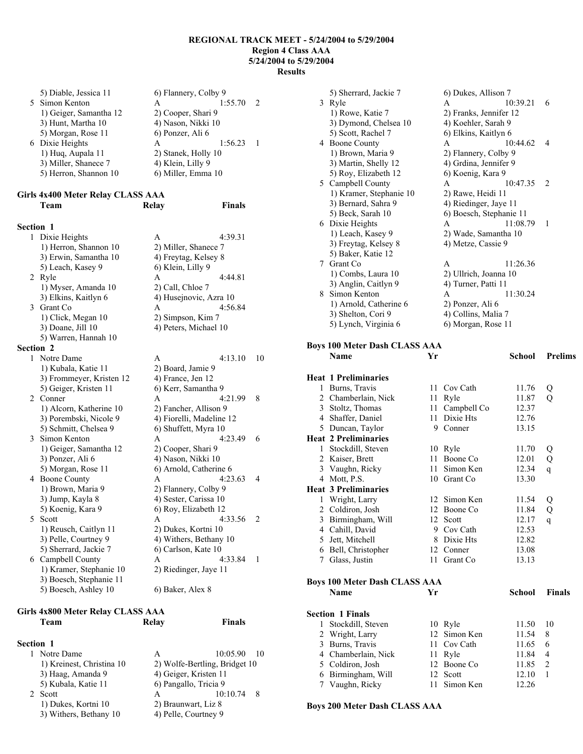| 5) Diable, Jessica 11  | 6) Flannery, Colby 9 |         |  |  |
|------------------------|----------------------|---------|--|--|
| 5 Simon Kenton         | A                    | 1:55.70 |  |  |
| 1) Geiger, Samantha 12 | 2) Cooper, Shari 9   |         |  |  |
| 3) Hunt, Martha 10     | 4) Nason, Nikki 10   |         |  |  |
| 5) Morgan, Rose 11     | 6) Ponzer, Ali 6     |         |  |  |
| 6 Dixie Heights        | A                    | 1:56.23 |  |  |
| 1) Huq, Aupala 11      | 2) Stanek, Holly 10  |         |  |  |
| 3) Miller, Shanece 7   | 4) Klein, Lilly 9    |         |  |  |
| 5) Herron, Shannon 10  | 6) Miller, Emma 10   |         |  |  |
|                        |                      |         |  |  |

#### **Girls 4x400 Meter Relay CLASS AAA Team Relay Finals**

| <b>Section 1</b>                                   |                |
|----------------------------------------------------|----------------|
| 1 Dixie Heights<br>$\mathsf{A}$<br>4:39.31         |                |
| 1) Herron, Shannon 10<br>2) Miller, Shanece 7      |                |
| 3) Erwin, Samantha 10<br>4) Freytag, Kelsey 8      |                |
| 5) Leach, Kasey 9<br>6) Klein, Lilly 9             |                |
| 4:44.81<br>2 Ryle<br>A                             |                |
| 1) Myser, Amanda 10<br>2) Call, Chloe 7            |                |
| 3) Elkins, Kaitlyn 6<br>4) Husejnovic, Azra 10     |                |
| 4:56.84<br>3 Grant Co<br>A                         |                |
| 1) Click, Megan 10<br>2) Simpson, Kim 7            |                |
| 3) Doane, Jill 10<br>4) Peters, Michael 10         |                |
| 5) Warren, Hannah 10                               |                |
| Section 2                                          |                |
| 1 Notre Dame<br>4:13.10<br>A                       | 10             |
| 1) Kubala, Katie 11<br>2) Board, Jamie 9           |                |
| 3) Frommeyer, Kristen 12<br>4) France, Jen 12      |                |
| 5) Geiger, Kristen 11<br>6) Kerr, Samantha 9       |                |
| 2 Conner<br>4:21.99<br>A                           | 8              |
| 1) Alcorn, Katherine 10<br>2) Fancher, Allison 9   |                |
| 3) Porembski, Nicole 9<br>4) Fiorelli, Madeline 12 |                |
| 5) Schmitt, Chelsea 9<br>6) Shuffett, Myra 10      |                |
| 3 Simon Kenton<br>4:23.49<br>A                     | 6              |
| 1) Geiger, Samantha 12<br>2) Cooper, Shari 9       |                |
| 3) Ponzer, Ali 6<br>4) Nason, Nikki 10             |                |
| 5) Morgan, Rose 11<br>6) Arnold, Catherine 6       |                |
| 4 Boone County<br>4:23.63<br>A                     | 4              |
| 1) Brown, Maria 9<br>2) Flannery, Colby 9          |                |
| 4) Sester, Carissa 10<br>3) Jump, Kayla 8          |                |
| 6) Roy, Elizabeth 12<br>5) Koenig, Kara 9          |                |
| 5 Scott<br>4:33.56<br>A                            | $\overline{2}$ |
| 1) Reusch, Caitlyn 11<br>2) Dukes, Kortni 10       |                |
| 3) Pelle, Courtney 9<br>4) Withers, Bethany 10     |                |
| 5) Sherrard, Jackie 7<br>6) Carlson, Kate 10       |                |
| 6 Campbell County<br>4:33.84<br>A                  | 1              |
| 1) Kramer, Stephanie 10<br>2) Riedinger, Jaye 11   |                |
| 3) Boesch, Stephanie 11                            |                |
|                                                    |                |

#### **Girls 4x800 Meter Relay CLASS AAA Team Relay Finals**

# **Section 1**

| 1 Notre Dame              | А                             | $10:05.90$ 10   |  |  |
|---------------------------|-------------------------------|-----------------|--|--|
| 1) Kreinest, Christina 10 | 2) Wolfe-Bertling, Bridget 10 |                 |  |  |
| 3) Haag, Amanda 9         | 4) Geiger, Kristen 11         |                 |  |  |
| 5) Kubala, Katie 11       | 6) Pangallo, Tricia 9         |                 |  |  |
| Scott                     | A                             | 10:10.74<br>- 8 |  |  |
| 1) Dukes, Kortni 10       | 2) Braunwart, Liz 8           |                 |  |  |
| 3) Withers, Bethany 10    | 4) Pelle, Courtney 9          |                 |  |  |
|                           |                               |                 |  |  |

|                                            | 5) Sherrard, Jackie 7   | 6) Dukes, Allison 7    |                         |                |  |
|--------------------------------------------|-------------------------|------------------------|-------------------------|----------------|--|
|                                            | 3 Ryle                  | A                      | 10:39.21                | 6              |  |
|                                            | 1) Rowe, Katie 7        | 2) Franks, Jennifer 12 |                         |                |  |
|                                            | 3) Dymond, Chelsea 10   | 4) Koehler, Sarah 9    |                         |                |  |
|                                            | 5) Scott, Rachel 7      | 6) Elkins, Kaitlyn 6   |                         |                |  |
|                                            | 4 Boone County          | A                      | 10:44.62                | 4              |  |
|                                            | 1) Brown, Maria 9       | 2) Flannery, Colby 9   |                         |                |  |
|                                            | 3) Martin, Shelly 12    | 4) Grdina, Jennifer 9  |                         |                |  |
|                                            | 5) Roy, Elizabeth 12    | 6) Koenig, Kara 9      |                         |                |  |
|                                            | 5 Campbell County       | A                      | 10:47.35                | $\mathfrak{D}$ |  |
|                                            | 1) Kramer, Stephanie 10 | 2) Rawe, Heidi 11      |                         |                |  |
|                                            | 3) Bernard, Sahra 9     | 4) Riedinger, Jaye 11  |                         |                |  |
|                                            | 5) Beck, Sarah 10       |                        | 6) Boesch, Stephanie 11 |                |  |
|                                            | 6 Dixie Heights         | A                      | 11:08.79                | 1              |  |
|                                            | 1) Leach, Kasey 9       | 2) Wade, Samantha 10   |                         |                |  |
|                                            | 3) Freytag, Kelsey 8    | 4) Metze, Cassie 9     |                         |                |  |
|                                            | 5) Baker, Katie 12      |                        |                         |                |  |
| $7^{\circ}$                                | Grant Co                | A                      | 11:26.36                |                |  |
|                                            | 1) Combs, Laura 10      | 2) Ullrich, Joanna 10  |                         |                |  |
|                                            | 3) Anglin, Caitlyn 9    | 4) Turner, Patti 11    |                         |                |  |
| 8.                                         | Simon Kenton            | A                      | 11:30.24                |                |  |
|                                            | 1) Arnold, Catherine 6  | 2) Ponzer, Ali 6       |                         |                |  |
|                                            | 3) Shelton, Cori 9      | 4) Collins, Malia 7    |                         |                |  |
| 5) Lynch, Virginia 6<br>6) Morgan, Rose 11 |                         |                        |                         |                |  |

# **Boys 100 Meter Dash CLASS AAA**

|              | Name                                 | Yr |              | School | <b>Prelims</b> |
|--------------|--------------------------------------|----|--------------|--------|----------------|
|              | <b>Heat 1 Preliminaries</b>          |    |              |        |                |
|              | 1 Burns, Travis                      | 11 | Cov Cath     | 11.76  | Q              |
|              | 2 Chamberlain, Nick                  | 11 | Ryle         | 11.87  | Q              |
|              | 3 Stoltz, Thomas                     | 11 | Campbell Co  | 12.37  |                |
|              | 4 Shaffer, Daniel                    | 11 | Dixie Hts    | 12.76  |                |
|              | 5 Duncan, Taylor                     | 9  | Conner       | 13.15  |                |
|              | <b>Heat 2 Preliminaries</b>          |    |              |        |                |
|              | 1 Stockdill, Steven                  |    | 10 Ryle      | 11.70  | Q              |
|              | 2 Kaiser, Brett                      | 11 | Boone Co     | 12.01  | Q              |
|              | 3 Vaughn, Ricky                      | 11 | Simon Ken    | 12.34  | $\mathsf{q}$   |
|              | 4 Mott, P.S.                         |    | 10 Grant Co  | 13.30  |                |
|              | <b>Heat 3 Preliminaries</b>          |    |              |        |                |
| 1            | Wright, Larry                        | 12 | Simon Ken    | 11.54  | Q              |
|              | 2 Coldiron, Josh                     |    | 12 Boone Co  | 11.84  | Q              |
|              | 3 Birmingham, Will                   |    | 12 Scott     | 12.17  | $\mathsf{q}$   |
|              | 4 Cahill, David                      |    | 9 Cov Cath   | 12.53  |                |
|              | 5 Jett, Mitchell                     |    | 8 Dixie Hts  | 12.82  |                |
|              | 6 Bell, Christopher                  |    | 12 Conner    | 13.08  |                |
| 7            | Glass, Justin                        | 11 | Grant Co     | 13.13  |                |
|              | <b>Boys 100 Meter Dash CLASS AAA</b> |    |              |        |                |
|              | <b>Name</b>                          | Yr |              | School | <b>Finals</b>  |
|              | <b>Section 1 Finals</b>              |    |              |        |                |
| $\mathbf{1}$ | Stockdill, Steven                    |    | 10 Ryle      | 11.50  | 10             |
|              | 2 Wright, Larry                      |    | 12 Simon Ken | 11.54  | 8              |
|              | 3 Burns, Travis                      | 11 | Cov Cath     | 11.65  | 6              |
|              | 4 Chamberlain, Nick                  | 11 | Ryle         | 11.84  | $\overline{4}$ |
|              | 5 Coldiron, Josh                     |    | 12 Boone Co  | 11.85  | $\overline{c}$ |
| 6            | Birmingham, Will                     | 12 | Scott        | 12.10  | $\mathbf{1}$   |

# 7 Vaughn, Ricky 11 Simon Ken 12.26 **Boys 200 Meter Dash CLASS AAA**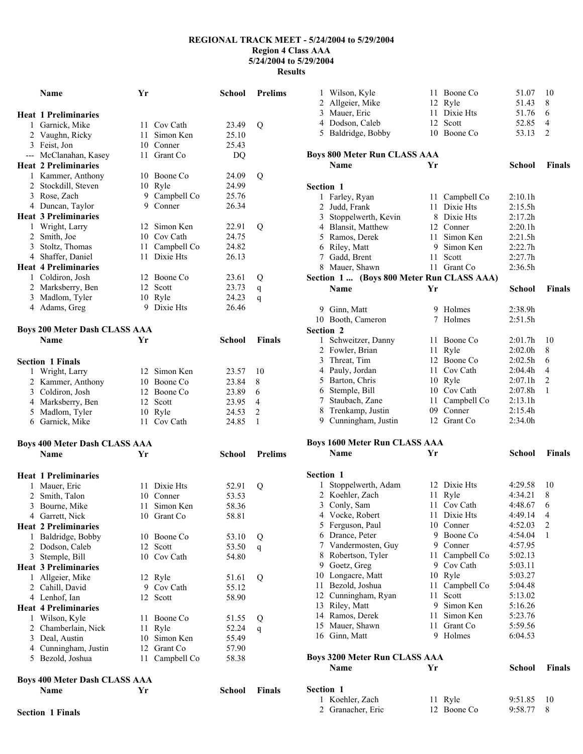|   | <b>Name</b>                          | Yr   |                       | <b>School</b>  | <b>Prelims</b> |
|---|--------------------------------------|------|-----------------------|----------------|----------------|
|   |                                      |      |                       |                |                |
|   | <b>Heat 1 Preliminaries</b>          |      |                       |                |                |
|   | 1 Garnick, Mike                      | 11 - | Cov Cath              | 23.49          | Q              |
|   | 2 Vaughn, Ricky                      | 11   | Simon Ken             | 25.10          |                |
|   | 3 Feist, Jon                         |      | 10 Conner             | 25.43          |                |
|   | --- McClanahan, Kasey                |      | 11 Grant Co           | DQ             |                |
|   | <b>Heat 2 Preliminaries</b>          |      |                       |                |                |
|   | 1 Kammer, Anthony                    |      | 10 Boone Co           | 24.09          | Q              |
|   | 2 Stockdill, Steven                  | 10   | Ryle<br>9 Campbell Co | 24.99<br>25.76 |                |
|   | 3 Rose, Zach<br>4 Duncan, Taylor     |      | 9 Conner              | 26.34          |                |
|   | <b>Heat 3 Preliminaries</b>          |      |                       |                |                |
|   | 1 Wright, Larry                      | 12   | Simon Ken             | 22.91          | Q              |
|   | 2 Smith, Joe                         |      | 10 Cov Cath           | 24.75          |                |
|   | 3 Stoltz, Thomas                     | 11   | Campbell Co           | 24.82          |                |
|   | 4 Shaffer, Daniel                    | 11   | Dixie Hts             | 26.13          |                |
|   | <b>Heat 4 Preliminaries</b>          |      |                       |                |                |
|   | 1 Coldiron, Josh                     | 12   | Boone Co              | 23.61          | Q              |
|   | 2 Marksberry, Ben                    |      | 12 Scott              | 23.73          | q              |
|   | 3 Madlom, Tyler                      |      | 10 Ryle               | 24.23          | q              |
|   | 4 Adams, Greg                        | 9    | Dixie Hts             | 26.46          |                |
|   |                                      |      |                       |                |                |
|   | <b>Boys 200 Meter Dash CLASS AAA</b> |      |                       |                |                |
|   | <b>Name</b>                          | Yr   |                       | School         | <b>Finals</b>  |
|   |                                      |      |                       |                |                |
|   | <b>Section 1 Finals</b>              |      |                       |                |                |
|   | 1 Wright, Larry                      |      | 12 Simon Ken          | 23.57          | 10             |
|   | 2 Kammer, Anthony                    |      | 10 Boone Co           | 23.84          | 8              |
|   | 3 Coldiron, Josh                     |      | 12 Boone Co           | 23.89          | 6              |
|   | 4 Marksberry, Ben                    |      | 12 Scott              | 23.95          | 4              |
|   | 5 Madlom, Tyler                      |      | 10 Ryle               | 24.53          | $\overline{c}$ |
|   | 6 Garnick, Mike                      |      | 11 Cov Cath           | 24.85          | 1              |
|   |                                      |      |                       |                |                |
|   | <b>Boys 400 Meter Dash CLASS AAA</b> |      |                       |                |                |
|   | <b>Name</b>                          | Yr   |                       | School         | <b>Prelims</b> |
|   |                                      |      |                       |                |                |
|   | <b>Heat 1 Preliminaries</b>          |      |                       |                |                |
|   | 1 Mauer, Eric                        | 11   | Dixie Hts             | 52.91          | Q              |
|   | 2 Smith, Talon                       |      | 10 Conner             | 53.53          |                |
|   | 3 Bourne, Mike                       | 11   | Simon Ken             | 58.36          |                |
|   | 4 Garrett, Nick                      |      | 10 Grant Co           | 58.81          |                |
|   | <b>Heat 2 Preliminaries</b>          |      |                       |                |                |
| 1 | Baldridge, Bobby                     | 10   | Boone Co              | 53.10          | Q              |
|   | 2 Dodson, Caleb                      | 12   | Scott                 | 53.50          | $\mathsf{q}$   |
|   | 3 Stemple, Bill                      | 10   | Cov Cath              | 54.80          |                |
|   | <b>Heat 3 Preliminaries</b>          |      |                       |                |                |
|   | 1 Allgeier, Mike                     |      | 12 Ryle               | 51.61          | Q              |
|   | 2 Cahill, David                      | 9    | Cov Cath              | 55.12          |                |
|   | 4 Lenhof, Ian                        | 12   | Scott                 | 58.90          |                |
|   | <b>Heat 4 Preliminaries</b>          |      |                       |                |                |
|   | 1 Wilson, Kyle                       | 11   | Boone Co              | 51.55          | Q              |
|   | 2 Chamberlain, Nick                  | 11   | Ryle                  | 52.24          | $\mathsf{q}$   |
|   | 3 Deal, Austin                       | 10   | Simon Ken             | 55.49          |                |
|   | 4 Cunningham, Justin                 | 12   | Grant Co              | 57.90          |                |
|   | 5 Bezold, Joshua                     | 11   | Campbell Co           | 58.38          |                |
|   |                                      |      |                       |                |                |

| School        | <b>Prelims</b> | 1 Wilson, Kyle                              | 11 Boone Co                    | 51.07              | 10            |
|---------------|----------------|---------------------------------------------|--------------------------------|--------------------|---------------|
|               |                | 2 Allgeier, Mike                            | 12 Ryle                        | 51.43              | 8             |
|               |                | 3 Mauer, Eric                               | 11 Dixie Hts                   | 51.76              | 6             |
| 23.49         | Q              | 4 Dodson, Caleb                             | 12 Scott                       | 52.85              | 4             |
| 25.10         |                | 5 Baldridge, Bobby                          | 10 Boone Co                    | 53.13              | 2             |
| 25.43         |                |                                             |                                |                    |               |
| DQ            |                | <b>Boys 800 Meter Run CLASS AAA</b>         |                                |                    |               |
|               |                | Name                                        | Yr                             | School             | Finals        |
| 24.09         | Q              |                                             |                                |                    |               |
| 24.99         |                | Section 1                                   |                                |                    |               |
| 25.76         |                | 1 Farley, Ryan                              |                                | 2:10.1h            |               |
| 26.34         |                | 2 Judd, Frank                               | 11 Campbell Co<br>11 Dixie Hts | 2:15.5h            |               |
|               |                |                                             | 8 Dixie Hts                    | 2:17.2h            |               |
| 22.91         | Q              | 3 Stoppelwerth, Kevin<br>4 Blansit, Matthew | 12 Conner                      | 2:20.1h            |               |
| 24.75         |                | 5 Ramos, Derek                              | 11 Simon Ken                   | 2:21.5h            |               |
| 24.82         |                | 6 Riley, Matt                               | 9 Simon Ken                    | 2:22.7h            |               |
| 26.13         |                | 7 Gadd, Brent                               | 11 Scott                       | 2:27.7h            |               |
|               |                | 8 Mauer, Shawn                              | 11 Grant Co                    | 2:36.5h            |               |
| 23.61         | Q              | Section 1  (Boys 800 Meter Run CLASS AAA)   |                                |                    |               |
| 23.73         | q              | <b>Name</b>                                 | Yr                             | <b>School</b>      | <b>Finals</b> |
| 24.23         | q              |                                             |                                |                    |               |
| 26.46         |                |                                             |                                |                    |               |
|               |                | 9 Ginn, Matt                                | 9 Holmes                       | 2:38.9h            |               |
|               |                | 10 Booth, Cameron                           | 7 Holmes                       | 2:51.5h            |               |
| <b>School</b> |                | Section 2                                   |                                |                    |               |
|               | <b>Finals</b>  | 1 Schweitzer, Danny                         | 11 Boone Co                    | 2:01.7h            | 10            |
|               |                | 2 Fowler, Brian                             | 11 Ryle                        | 2:02.0h            | 8             |
|               |                | 3 Threat, Tim                               | 12 Boone Co                    | 2:02.5h            | 6             |
| 23.57         | 10             | 4 Pauly, Jordan                             | 11 Cov Cath                    | 2:04.4h            | 4             |
| 23.84         | 8              | 5 Barton, Chris                             | 10 Ryle                        | 2:07.1h            | 2             |
| 23.89         | 6              | 6 Stemple, Bill                             | 10 Cov Cath                    | 2:07.8h            | 1             |
| 23.95         | 4              | 7 Staubach, Zane<br>8 Trenkamp, Justin      | 11 Campbell Co<br>09 Conner    | 2:13.1h<br>2:15.4h |               |
|               |                |                                             |                                |                    |               |
| 24.53         | $\overline{2}$ |                                             |                                |                    |               |
| 24.85         | 1              | 9 Cunningham, Justin                        | 12 Grant Co                    | 2:34.0h            |               |
|               |                |                                             |                                |                    |               |
|               |                | <b>Boys 1600 Meter Run CLASS AAA</b>        |                                |                    |               |
| <b>School</b> | <b>Prelims</b> | Name                                        | Yr                             | <b>School</b>      | <b>Finals</b> |
|               |                |                                             |                                |                    |               |
|               |                | Section 1                                   |                                |                    |               |
| 52.91         | Q              | 1 Stoppelwerth, Adam                        | 12 Dixie Hts                   | 4:29.58            | 10            |
| 53.53         |                | 2 Koehler, Zach                             | 11 Ryle                        | 4:34.21            | 8             |
| 58.36         |                | 3 Conly, Sam                                | 11 Cov Cath                    | 4:48.67            | 6             |
| 58.81         |                | 4 Vocke, Robert                             | 11 Dixie Hts                   | 4:49.14 4          |               |
|               |                | 5 Ferguson, Paul                            | 10 Conner                      | 4:52.03            | 2             |
| 53.10         | Q              | 6 Drance, Peter                             | 9 Boone Co                     | 4:54.04            | 1             |
| 53.50         | q              | 7 Vandermosten, Guy                         | 9 Conner                       | 4:57.95            |               |
| 54.80         |                | 8 Robertson, Tyler                          | 11 Campbell Co                 | 5:02.13            |               |
|               |                | 9 Goetz, Greg                               | 9 Cov Cath                     | 5:03.11            |               |
| 51.61         | Q              | 10 Longacre, Matt                           | 10 Ryle                        | 5:03.27            |               |
| 55.12         |                | 11 Bezold, Joshua                           | 11 Campbell Co                 | 5:04.48            |               |
| 58.90         |                | 12 Cunningham, Ryan                         | 11 Scott                       | 5:13.02            |               |
|               |                | 13 Riley, Matt                              | Simon Ken<br>9                 | 5:16.26            |               |
| 51.55         | Q              | 14 Ramos, Derek                             | Simon Ken<br>11 -              | 5:23.76            |               |
| 52.24         | q              | 15 Mauer, Shawn                             | 11 Grant Co                    | 5:59.56            |               |
| 55.49         |                | 16 Ginn, Matt                               | 9 Holmes                       | 6:04.53            |               |
| 57.90         |                |                                             |                                |                    |               |
| 58.38         |                | <b>Boys 3200 Meter Run CLASS AAA</b>        |                                |                    |               |
|               |                | Name                                        | Yr                             | <b>School</b>      | <b>Finals</b> |
|               |                |                                             |                                |                    |               |
| <b>School</b> | <b>Finals</b>  | Section 1                                   |                                |                    |               |
|               |                | 1 Koehler, Zach<br>2 Granacher, Eric        | 11 Ryle<br>12 Boone Co         | 9:51.85<br>9:58.77 | 10<br>8       |

**Boys 400 Meter Dash CLASS AAA**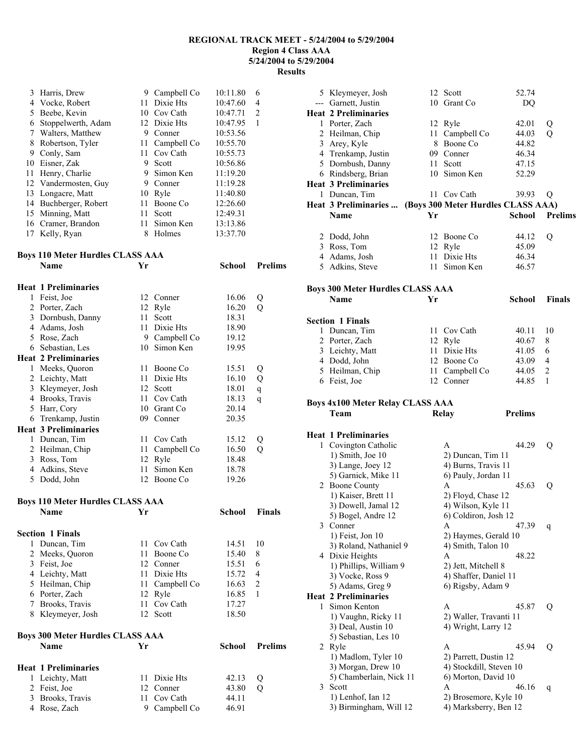| 3 Harris, Drew                          |    | 9 Campbell Co | 10:11.80 | 6              |
|-----------------------------------------|----|---------------|----------|----------------|
| 4 Vocke, Robert                         | 11 | Dixie Hts     | 10:47.60 | 4              |
| 5 Beebe, Kevin                          |    | 10 Cov Cath   | 10:47.71 | $\overline{c}$ |
| 6 Stoppelwerth, Adam                    |    | 12 Dixie Hts  | 10:47.95 | 1              |
|                                         |    | 9 Conner      |          |                |
| 7 Walters, Matthew                      |    |               | 10:53.56 |                |
| 8 Robertson, Tyler                      | 11 | Campbell Co   | 10:55.70 |                |
| 9 Conly, Sam                            | 11 | Cov Cath      | 10:55.73 |                |
| 10 Eisner, Zak                          | 9  | Scott         | 10:56.86 |                |
| 11 Henry, Charlie                       | 9  | Simon Ken     | 11:19.20 |                |
| 12 Vandermosten, Guy                    |    | 9 Conner      | 11:19.28 |                |
| 13 Longacre, Matt                       |    | 10 Ryle       | 11:40.80 |                |
| 14 Buchberger, Robert                   | 11 | Boone Co      | 12:26.60 |                |
| 15 Minning, Matt                        | 11 | Scott         | 12:49.31 |                |
| 16 Cramer, Brandon                      | 11 | Simon Ken     | 13:13.86 |                |
|                                         |    | 8 Holmes      | 13:37.70 |                |
| 17 Kelly, Ryan                          |    |               |          |                |
|                                         |    |               |          |                |
| <b>Boys 110 Meter Hurdles CLASS AAA</b> |    |               |          |                |
| <b>Name</b>                             | Yr |               | School   | <b>Prelims</b> |
|                                         |    |               |          |                |
| <b>Heat 1 Preliminaries</b>             |    |               |          |                |
| 1 Feist, Joe                            |    | 12 Conner     | 16.06    | Q              |
| 2 Porter, Zach                          |    | 12 Ryle       | 16.20    | Q              |
| 3 Dornbush, Danny                       | 11 | Scott         | 18.31    |                |
| 4 Adams, Josh                           | 11 | Dixie Hts     | 18.90    |                |
| 5 Rose, Zach                            |    | 9 Campbell Co | 19.12    |                |
| 6 Sebastian, Les                        |    | 10 Simon Ken  | 19.95    |                |
| <b>Heat 2 Preliminaries</b>             |    |               |          |                |
| 1 Meeks, Quoron                         | 11 | Boone Co      | 15.51    | Q              |
| 2 Leichty, Matt                         | 11 | Dixie Hts     | 16.10    | Q              |
| 3 Kleymeyer, Josh                       |    | 12 Scott      | 18.01    |                |
|                                         |    |               |          | q              |
| 4 Brooks, Travis                        |    | 11 Cov Cath   | 18.13    | q              |
| 5 Harr, Cory                            |    | 10 Grant Co   | 20.14    |                |
| 6 Trenkamp, Justin                      | 09 | Conner        | 20.35    |                |
| <b>Heat 3 Preliminaries</b>             |    |               |          |                |
| 1 Duncan, Tim                           | 11 | Cov Cath      | 15.12    | Q              |
| 2 Heilman, Chip                         | 11 | Campbell Co   | 16.50    | Q              |
| 3 Ross, Tom                             | 12 | Ryle          | 18.48    |                |
| 4 Adkins, Steve                         | 11 | Simon Ken     | 18.78    |                |
| 5 Dodd, John                            |    | 12 Boone Co   | 19.26    |                |
|                                         |    |               |          |                |
| <b>Boys 110 Meter Hurdles CLASS AAA</b> |    |               |          |                |
| <b>Name</b>                             | Yr |               | School   | <b>Finals</b>  |
|                                         |    |               |          |                |
| <b>Section 1 Finals</b>                 |    |               |          |                |
| 1 Duncan, Tim                           | 11 | Cov Cath      | 14.51    | 10             |
| 2 Meeks, Quoron                         | 11 | Boone Co      | 15.40    | 8              |
| 3 Feist, Joe                            |    | 12 Conner     | 15.51    | 6              |
| 4 Leichty, Matt                         |    | 11 Dixie Hts  | 15.72    | 4              |
| 5 Heilman, Chip                         | 11 | Campbell Co   | 16.63    | 2              |
| 6 Porter, Zach                          |    | 12 Ryle       | 16.85    | 1              |
| 7 Brooks, Travis                        |    | 11 Cov Cath   | 17.27    |                |
| 8 Kleymeyer, Josh                       |    | 12 Scott      | 18.50    |                |
|                                         |    |               |          |                |
| <b>Boys 300 Meter Hurdles CLASS AAA</b> |    |               |          |                |
| Name                                    | Yr |               | School   | <b>Prelims</b> |
|                                         |    |               |          |                |
| <b>Heat 1 Preliminaries</b>             |    |               |          |                |
| 1 Leichty, Matt                         |    | 11 Dixie Hts  | 42.13    | Q              |
| 2 Feist, Joe                            |    | 12 Conner     | 43.80    | Q              |
| 3 Brooks, Travis                        | 11 | Cov Cath      | 44.11    |                |
| 4 Rose, Zach                            |    | 9 Campbell Co | 46.91    |                |

|   | 5 Kleymeyer, Josh                           |    | 12 Scott                                       | 52.74          |                |
|---|---------------------------------------------|----|------------------------------------------------|----------------|----------------|
|   | --- Garnett, Justin                         |    | 10 Grant Co                                    | DQ             |                |
|   | <b>Heat 2 Preliminaries</b>                 |    |                                                |                |                |
|   | 1 Porter, Zach                              |    |                                                | 42.01          |                |
|   |                                             |    | 12 Ryle                                        |                | Q              |
|   | 2 Heilman, Chip                             |    | 11 Campbell Co                                 | 44.03          | Q              |
|   | 3 Arey, Kyle                                |    | 8 Boone Co                                     | 44.82          |                |
|   | 4 Trenkamp, Justin                          |    | 09 Conner                                      | 46.34          |                |
|   | 5 Dornbush, Danny                           |    | 11 Scott                                       | 47.15          |                |
|   | 6 Rindsberg, Brian                          |    | 10 Simon Ken                                   | 52.29          |                |
|   | <b>Heat 3 Preliminaries</b>                 |    |                                                |                |                |
|   |                                             |    | 11 Cov Cath                                    | 39.93          |                |
|   | 1 Duncan, Tim                               |    |                                                |                | Q              |
|   | Heat 3 Preliminaries                        |    | (Boys 300 Meter Hurdles CLASS AAA)             |                |                |
|   | Name                                        | Yr |                                                | <b>School</b>  | <b>Prelims</b> |
|   |                                             |    |                                                |                |                |
|   | 2 Dodd, John                                |    | 12 Boone Co                                    | 44.12          | Q              |
|   | 3 Ross, Tom                                 |    | 12 Ryle                                        | 45.09          |                |
|   | 4 Adams, Josh                               |    | 11 Dixie Hts                                   | 46.34          |                |
|   | 5 Adkins, Steve                             | 11 | Simon Ken                                      | 46.57          |                |
|   |                                             |    |                                                |                |                |
|   |                                             |    |                                                |                |                |
|   | <b>Boys 300 Meter Hurdles CLASS AAA</b>     |    |                                                |                |                |
|   | Name                                        | Yr |                                                | School         | <b>Finals</b>  |
|   |                                             |    |                                                |                |                |
|   | <b>Section 1 Finals</b>                     |    |                                                |                |                |
|   | 1 Duncan, Tim                               |    | 11 Cov Cath                                    | 40.11          | 10             |
|   | 2 Porter, Zach                              |    | 12 Ryle                                        | 40.67          | 8              |
|   |                                             |    | 11 Dixie Hts                                   | 41.05          | 6              |
|   | 3 Leichty, Matt                             |    |                                                |                |                |
|   | 4 Dodd, John                                |    | 12 Boone Co                                    | 43.09          | 4              |
|   | 5 Heilman, Chip                             |    | 11 Campbell Co                                 | 44.05          | 2              |
|   | 6 Feist, Joe                                |    | 12 Conner                                      | 44.85          | 1              |
|   |                                             |    |                                                |                |                |
|   |                                             |    |                                                |                |                |
|   | <b>Boys 4x100 Meter Relay CLASS AAA</b>     |    |                                                |                |                |
|   | Team                                        |    |                                                | <b>Prelims</b> |                |
|   |                                             |    | Relay                                          |                |                |
|   |                                             |    |                                                |                |                |
|   | <b>Heat 1 Preliminaries</b>                 |    |                                                |                |                |
|   | 1 Covington Catholic                        |    | A                                              | 44.29          | Q              |
|   | 1) Smith, Joe 10                            |    | 2) Duncan, Tim 11                              |                |                |
|   | 3) Lange, Joey 12                           |    | 4) Burns, Travis 11                            |                |                |
|   | 5) Garnick, Mike 11                         |    | 6) Pauly, Jordan 11                            |                |                |
|   | 2 Boone County                              |    | A                                              | 45.63          | Q              |
|   | 1) Kaiser, Brett 11                         |    |                                                |                |                |
|   |                                             |    | 2) Floyd, Chase 12                             |                |                |
|   | 3) Dowell, Jamal 12                         |    | 4) Wilson, Kyle 11                             |                |                |
|   | 5) Bogel, Andre 12                          |    | 6) Coldiron, Josh 12                           |                |                |
|   | 3 Conner                                    |    | A                                              | 47.39          | q              |
|   | 1) Feist, Jon 10                            |    | 2) Haymes, Gerald 10                           |                |                |
|   | 3) Roland, Nathaniel 9                      |    | 4) Smith, Talon 10                             |                |                |
|   | 4 Dixie Heights                             |    | A                                              | 48.22          |                |
|   | 1) Phillips, William 9                      |    | 2) Jett, Mitchell 8                            |                |                |
|   | 3) Vocke, Ross 9                            |    | 4) Shaffer, Daniel 11                          |                |                |
|   |                                             |    | 6) Rigsby, Adam 9                              |                |                |
|   | 5) Adams, Greg 9                            |    |                                                |                |                |
|   | <b>Heat 2 Preliminaries</b>                 |    |                                                |                |                |
| 1 | Simon Kenton                                |    | A                                              | 45.87          | Q              |
|   | 1) Vaughn, Ricky 11                         |    | 2) Waller, Travanti 11                         |                |                |
|   | 3) Deal, Austin 10                          |    | 4) Wright, Larry 12                            |                |                |
|   | 5) Sebastian, Les 10                        |    |                                                |                |                |
| 2 | Ryle                                        |    | A                                              | 45.94          | Q              |
|   | 1) Madlom, Tyler 10                         |    | 2) Parrett, Dustin 12                          |                |                |
|   | 3) Morgan, Drew 10                          |    | 4) Stockdill, Steven 10                        |                |                |
|   |                                             |    |                                                |                |                |
| 3 | 5) Chamberlain, Nick 11                     |    | 6) Morton, David 10<br>A                       | 46.16          |                |
|   | Scott                                       |    |                                                |                | q              |
|   | 1) Lenhof, Ian 12<br>3) Birmingham, Will 12 |    | 2) Brosemore, Kyle 10<br>4) Marksberry, Ben 12 |                |                |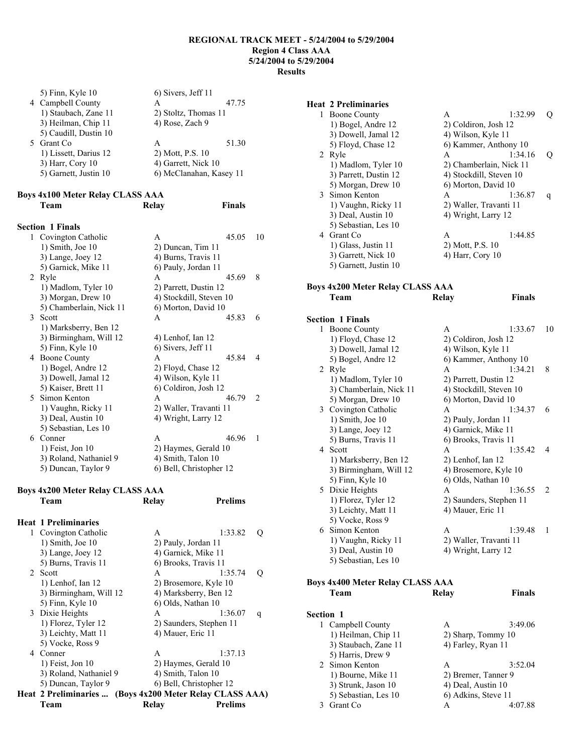| 5) Finn, Kyle 10                                | 6) Sivers, Jeff 11    |                         |
|-------------------------------------------------|-----------------------|-------------------------|
| 4 Campbell County                               | A                     | 47.75                   |
| 1) Staubach, Zane 11                            | 2) Stoltz, Thomas 11  |                         |
| 3) Heilman, Chip 11                             | 4) Rose, Zach 9       |                         |
| 5) Caudill, Dustin 10                           |                       |                         |
| 5 Grant Co.                                     | A                     | 51.30                   |
| 1) Lissett, Darius 12                           | 2) Mott, P.S. 10      |                         |
| 3) Harr, Cory 10                                | 4) Garrett, Nick 10   |                         |
| 5) Garnett, Justin 10                           |                       | 6) McClanahan, Kasey 11 |
|                                                 |                       |                         |
| <b>Boys 4x100 Meter Relay CLASS AAA</b><br>Team | Relay                 | <b>Finals</b>           |
| <b>Section 1 Finals</b>                         |                       |                         |
| 1 Covington Catholic                            | A                     | 45.05                   |
| $1)$ Smith, Joe $10$                            | 2) Duncan, Tim 11     |                         |
| 3) Lange, Joey 12                               | 4) Burns, Travis 11   |                         |
| 5) Garnick, Mike 11                             | 6) Pauly, Jordan 11   |                         |
| 2 Ryle                                          | A                     | 45.69                   |
| 1) Madlom, Tyler 10                             | 2) Parrett, Dustin 12 |                         |

| Covington Catholic<br>1 | 45.05<br>A              | 10            |
|-------------------------|-------------------------|---------------|
| $1)$ Smith, Joe $10$    | 2) Duncan, Tim 11       |               |
| 3) Lange, Joey 12       | 4) Burns, Travis 11     |               |
| 5) Garnick, Mike 11     | 6) Pauly, Jordan 11     |               |
| 2 Ryle                  | 45.69<br>A              | 8             |
| 1) Madlom, Tyler 10     | 2) Parrett, Dustin 12   |               |
| 3) Morgan, Drew 10      | 4) Stockdill, Steven 10 |               |
| 5) Chamberlain, Nick 11 | 6) Morton, David 10     |               |
| Scott<br>$\mathcal{E}$  | 45.83<br>$\mathsf{A}$   | 6             |
| 1) Marksberry, Ben 12   |                         |               |
| 3) Birmingham, Will 12  | 4) Lenhof, Ian 12       |               |
| 5) Finn, Kyle 10        | 6) Sivers, Jeff 11      |               |
| 4 Boone County          | 45.84<br>$\mathsf{A}$   | 4             |
| 1) Bogel, Andre 12      | 2) Floyd, Chase 12      |               |
| 3) Dowell, Jamal 12     | 4) Wilson, Kyle 11      |               |
| 5) Kaiser, Brett 11     | 6) Coldiron, Josh 12    |               |
| 5 Simon Kenton          | 46.79<br>A              | $\mathcal{L}$ |
| 1) Vaughn, Ricky 11     | 2) Waller, Travanti 11  |               |
| 3) Deal, Austin 10      | 4) Wright, Larry 12     |               |
| 5) Sebastian, Les 10    |                         |               |
| 6 Conner                | 46.96<br>A              | 1             |
| $1)$ Feist, Jon $10$    | 2) Haymes, Gerald 10    |               |
| 3) Roland, Nathaniel 9  | 4) Smith, Talon 10      |               |
| 5) Duncan, Taylor 9     | 6) Bell, Christopher 12 |               |

# **Boys 4x200 Meter Relay CLASS AAA**

|   | Team                        | Relay                | <b>Prelims</b>                     |   |
|---|-----------------------------|----------------------|------------------------------------|---|
|   | <b>Heat 1 Preliminaries</b> |                      |                                    |   |
|   | 1 Covington Catholic        | $\mathsf{A}$         | 1:33.82                            | O |
|   | $1)$ Smith, Joe $10$        | 2) Pauly, Jordan 11  |                                    |   |
|   | 3) Lange, Joey 12           | 4) Garnick, Mike 11  |                                    |   |
|   | 5) Burns, Travis 11         | 6) Brooks, Travis 11 |                                    |   |
|   | 2 Scott                     | A                    | 1:35.74                            | 0 |
|   | 1) Lenhof, Ian 12           |                      | 2) Brosemore, Kyle 10              |   |
|   | 3) Birmingham, Will 12      |                      | 4) Marksberry, Ben 12              |   |
|   | 5) Finn, Kyle 10            | 6) Olds, Nathan 10   |                                    |   |
|   | 3 Dixie Heights             | A                    | 1:36.07                            | q |
|   | 1) Florez, Tyler 12         |                      | 2) Saunders, Stephen 11            |   |
|   | 3) Leichty, Matt 11         | 4) Mauer, Eric 11    |                                    |   |
|   | 5) Vocke, Ross 9            |                      |                                    |   |
| 4 | Conner                      | A                    | 1:37.13                            |   |
|   | $1)$ Feist, Jon $10$        |                      | 2) Haymes, Gerald 10               |   |
|   | 3) Roland, Nathaniel 9      | 4) Smith, Talon 10   |                                    |   |
|   | 5) Duncan, Taylor 9         |                      | 6) Bell, Christopher 12            |   |
|   | Heat 2 Preliminaries        |                      | (Boys 4x200 Meter Relay CLASS AAA) |   |
|   | Team                        | Relay                | <b>Prelims</b>                     |   |

# **Heat 2 Preliminaries**

| <b>Boone County</b>   | A                                               | 1:32.99          |                                                                                                                                                                                                   |
|-----------------------|-------------------------------------------------|------------------|---------------------------------------------------------------------------------------------------------------------------------------------------------------------------------------------------|
| 1) Bogel, Andre 12    |                                                 |                  |                                                                                                                                                                                                   |
| 3) Dowell, Jamal 12   |                                                 |                  |                                                                                                                                                                                                   |
| 5) Floyd, Chase 12    |                                                 |                  |                                                                                                                                                                                                   |
| Ryle                  | A                                               | 1:34.16          | Ő                                                                                                                                                                                                 |
| 1) Madlom, Tyler 10   |                                                 |                  |                                                                                                                                                                                                   |
| 3) Parrett, Dustin 12 |                                                 |                  |                                                                                                                                                                                                   |
| 5) Morgan, Drew 10    |                                                 |                  |                                                                                                                                                                                                   |
|                       | A                                               | 1:36.87          | q                                                                                                                                                                                                 |
| 1) Vaughn, Ricky 11   |                                                 |                  |                                                                                                                                                                                                   |
| 3) Deal, Austin 10    |                                                 |                  |                                                                                                                                                                                                   |
| 5) Sebastian, Les 10  |                                                 |                  |                                                                                                                                                                                                   |
| Grant Co.             | A                                               | 1:44.85          |                                                                                                                                                                                                   |
|                       |                                                 |                  |                                                                                                                                                                                                   |
| 3) Garrett, Nick 10   | 4) Harr, Cory 10                                |                  |                                                                                                                                                                                                   |
| 5) Garnett, Justin 10 |                                                 |                  |                                                                                                                                                                                                   |
|                       | 2<br>3 Simon Kenton<br>4<br>1) Glass, Justin 11 | 2) Mott, P.S. 10 | 2) Coldiron, Josh 12<br>4) Wilson, Kyle 11<br>6) Kammer, Anthony 10<br>2) Chamberlain, Nick 11<br>4) Stockdill, Steven 10<br>6) Morton, David 10<br>2) Waller, Travanti 11<br>4) Wright, Larry 12 |

**Team Relay Finals** 

# **Boys 4x200 Meter Relay CLASS AAA**

#### **Section 1 Finals**

|    | ион і гіпаю             |                         |               |
|----|-------------------------|-------------------------|---------------|
| 1  | Boone County            | 1:33.67<br>A            | 10            |
|    | 1) Floyd, Chase 12      | 2) Coldiron, Josh 12    |               |
|    | 3) Dowell, Jamal 12     | 4) Wilson, Kyle 11      |               |
|    | 5) Bogel, Andre 12      | 6) Kammer, Anthony 10   |               |
| 2  | Ryle                    | 1:34.21<br>A            | 8             |
|    | 1) Madlom, Tyler 10     | 2) Parrett, Dustin 12   |               |
|    | 3) Chamberlain, Nick 11 | 4) Stockdill, Steven 10 |               |
|    | 5) Morgan, Drew 10      | 6) Morton, David 10     |               |
|    | 3 Covington Catholic    | 1:34.37<br>A            | 6             |
|    | $1)$ Smith, Joe $10$    | 2) Pauly, Jordan 11     |               |
|    | 3) Lange, Joey 12       | 4) Garnick, Mike 11     |               |
|    | 5) Burns, Travis 11     | 6) Brooks, Travis 11    |               |
|    | 4 Scott                 | 1:35.42<br>A            | 4             |
|    | 1) Marksberry, Ben 12   | 2) Lenhof, Ian 12       |               |
|    | 3) Birmingham, Will 12  | 4) Brosemore, Kyle 10   |               |
|    | 5) Finn, Kyle 10        | 6) Olds, Nathan 10      |               |
| 5  | Dixie Heights           | 1:36.55<br>A            | $\mathcal{L}$ |
|    | 1) Florez, Tyler 12     | 2) Saunders, Stephen 11 |               |
|    | 3) Leichty, Matt 11     | 4) Mauer, Eric 11       |               |
|    | 5) Vocke, Ross 9        |                         |               |
| 6. | Simon Kenton            | 1:39.48<br>A            | 1             |
|    | 1) Vaughn, Ricky 11     | 2) Waller, Travanti 11  |               |
|    | 3) Deal, Austin 10      | 4) Wright, Larry 12     |               |
|    | 5) Sebastian, Les 10    |                         |               |
|    |                         |                         |               |

### **Boys 4x400 Meter Relay CLASS AAA Team Relay Finals**

| <b>Section 1</b> |                      |                     |         |
|------------------|----------------------|---------------------|---------|
|                  | 1 Campbell County    | A                   | 3:49.06 |
|                  | 1) Heilman, Chip 11  | 2) Sharp, Tommy 10  |         |
|                  | 3) Staubach, Zane 11 | 4) Farley, Ryan 11  |         |
|                  | 5) Harris, Drew 9    |                     |         |
|                  | 2 Simon Kenton       | A                   | 3:52.04 |
|                  | 1) Bourne, Mike 11   | 2) Bremer, Tanner 9 |         |
|                  | 3) Strunk, Jason 10  | 4) Deal, Austin 10  |         |
|                  | 5) Sebastian, Les 10 | 6) Adkins, Steve 11 |         |
|                  | Grant Co.            | А                   |         |